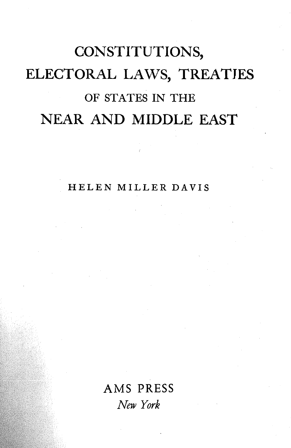# CONSTITUTIONS, ELECTORAL LAWS, TREATIES OF STATES IN THE NEAR AND MIDDLE EAST

HELEN MILLER DAVIS

AMS PRESS New York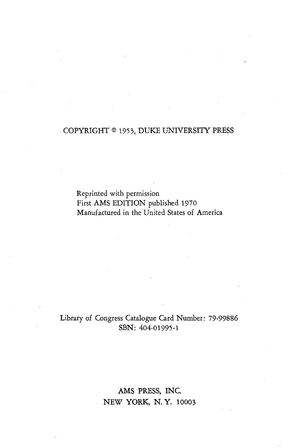## COPYRIGHT © 1953, DUKE UNIVERSITY PRESS

Reprinted with permission First AMS EDITION published 1970 Manufactured in the United States of America

Library of Congress Catalogue Card Number: 79-99886 SBN: 404-01995-1

> AMS PRESS, INC. NEW YORK, **N. Y.** 10003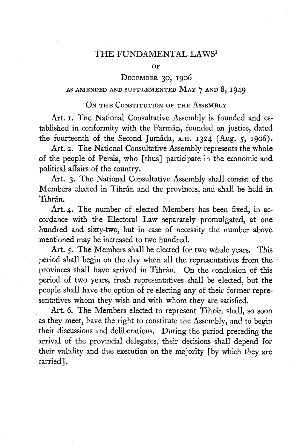### THE FUNDAMENTAL LAWS<sup>1</sup>

OF

## DECEMBER 30, 1906

## AS AMENDED AND SUPPLEMENTED MAY 7 AND 8, 1949

#### ON THE CONSTITUTION OF THE ASSEMBLY

Art. 1. The National Consultative Assembly is founded and established in conformity with the Farmán, founded on justice, dated the fourteenth of the Second Jumada, A.H. 1324 (Aug. 5, 1906).

Art. 2. The National Consultative Assembly represents the whole of the people of Persia, who [thus] participate in the economic and political affairs of the country.

Art. 3. The National Consultative Assembly shall consist of the Members elected in Tihrán and the provinces, and shall be held in Tihrán

Art. 4. The number of elected Members has been fixed, in accordance with the Electoral Law separately promulgated, at one hundred and sixty-two, but in case of necessity the number above mentioned may be increased to two hundred.

Art. 5. The Members shall be elected for two whole years. This period shall begin on the day when all the representatives from the provinces shall have arrived in Tihrán. On the conclusion of this period of two years, fresh representatives shall be elected, but the people shall have the option of re-electing any of their former representatives whom they wish and with whom they are satisfied.

Art. 6. The Members elected to represent Tihrán shall, so soon as they meet, have the right to constitute the Assembly, and to begin their discussions and deliberations. During the period preceding the arrival of the provincial delegates, their decisions shall depend for their validity and due execution on the majority [by which they are carried].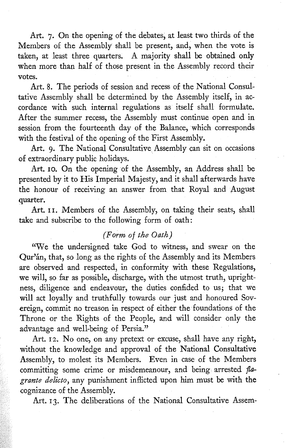Art. 7. On the opening of the debates, at least two thirds of the Members of the Assembly shall be present, and, when the vote is taken, at least three quarters. A majority shall be obtained only when more than half of those present in the Assembly record their votes.

Art. 8. The periods of session and recess of the National Consultative Assembly shall be determined by the Assembly itself, in accordance with such internal regulations as itself shall formulate. After the summer recess, the Assembly must continue open and in session from the fourteenth day of the Balance, which corresponds with the festival of the opening of the First Assembly.

Art. 9. The National Consultative Assembly can sit on occasions of extraordinary public holidays.

Art. 10. On the opening of the Assembly, an Address shall be presented by it to His Imperial Majesty, and it shall afterwards have the honour of receiving an answer from that Royal and August quarter.

Art. 11. Members of the Assembly, on taking their seats, shall take and subscribe to the following form of oath:

## *(Form of the Oath)*

"We the undersigned take God to witness, and swear on the Qur'an, that, so long as the rights of the Assembly and its Members are observed and respected, in conformity with these Regulations, we will, so far as possible, discharge, with the utmost truth, uprightness, diligence and endeavour, the duties confided to us; that we will act loyally and truthfully towards our just and honoured Sovereign, commit no treason in respect of either the foundations of the Throne or the Rights of the People, and will consider only the advantage and well-being of Persia."

Art. 12. No one, on any pretext or excuse, shall have any right, without the knowledge and approval of the National Consultative Assembly, to molest its Members. Even in case of the Members committing some crime or misdemeanour, and being arrested *fiagrante delicto,* any punishment inflicted upon him must be with the cognizance of the Assembly.

Art. 13. The deliberations of the National Consultative Assem-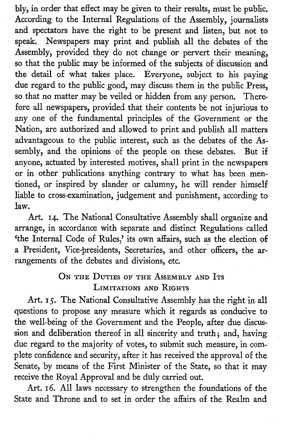bly, in order that effect may be given to their results, must be public. According to the Internal Regulations of the Assembly, journalists and spectators have the right to be present and listen, but not to speak. Newspapers may print and publish all the debates of the Assembly, provided they do not change or pervert their meaning, so that the public may be informed of the subjects of discussion and the detail of what takes place. Everyone, subject to his paying due regard to the public good, may discuss them in the public Press, so that no matter may be veiled or hidden from any person. Therefore all newspapers, provided that their contents be not injurious to any one of the fundamental principles of the Government or the Nation, are authorized and allowed to print and publish all matters advantageous to the public interest, such as the debates of the Assembly, and the opinions of the people on these debates. But if anyone, actuated by interested motives, shall print in the newspapers or in other publications anything contrary to what has been mentioned, or inspired by slander or calumny, he will render himself liable to cross-examination, judgement and punishment, according to law.

Art. 14. The National Consultative Assembly shall organize and arrange, in accordance with separate and distinct Regulations called 'the Internal Code of Rules,' its own affairs, such as the election of a President, Vice-presidents, Secretaries, and other officers, the arrangements of the debates and divisions, etc.

# ON THE DUTIES OF THE ASSEMBLY AND ITS LIMITATIONS AND RIGHTS

Art. 15. The National Consultative Assembly has the right in all questions to propose any measure which it regards as conducive to the well-being of the Government and the People, after due discussion and deliberation thereof in all sincerity and truth; and, having due regard to the majority of votes, to submit such measure, in complete confidence and security, after it has received the approval of the Senate, by means of the First Minister of the State, so that it may receive the Royal Approval and be duly carried out.

Art. 16. All laws necessary to strengthen the foundations of the State and Throne and to set in order the affairs of the Realm and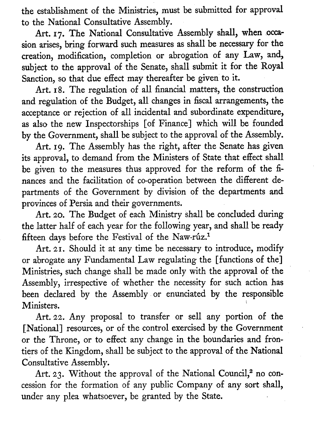the establishment of the Ministries, must be submitted for approval to the National Consultative Assembly.

Art. 17. The National Consultative Assembly shall, when occasion arises, bring forward such measures as shall be necessary for the creation, modification, completion or abrogation of any Law, and, subject to the approval of the Senate, shall submit it for the Royal Sanction, so that due effect may thereafter be given to it.

Art. 18. The regulation of all financial matters, the construction and regulation of the Budget, all changes in fiscal arrangements, the acceptance or rejection of all incidental and subordinate expenditure, as also the new Inspectorships [of Finance] which will be founded by the Government, shall be subject to the approval of the Assembly.

Art. 19. The Assembly has the right, after the Senate has given its approval, to demand from the Ministers of State that effect shall be given to the measures thus approved for the reform of the finances and the facilitation of co-operation between the different departments of the Government by division of the departments and provinces of Persia and their governments.

Art. 20. The Budget of each Ministry shall be concluded during the latter half of each year for the following year, and shall be ready fifteen days before the Festival of the Naw-rúz.<sup>1</sup>

Art. 21. Should it at any time be necessary to introduce, modify or abrogate any Fundamental Law regulating the [functions of the] Ministries, such change shall be made only with the approval of the Assembly, irrespective of whether the necessity for such action has been declared by the Assembly or enunciated by the responsible Ministers.

Art. 22. Any proposal to transfer or sell any portion of the [National] resources, or of the control exercised by the Government or the Throne, or to effect any change in the boundaries and frontiers of the Kingdom, shall be subject to the approval of the National Consultative Assembly.

Art. 23. Without the approval of the National Council,<sup>2</sup> no concession for the formation of any public Company of any sort shall, under any plea whatsoever, be granted by the State.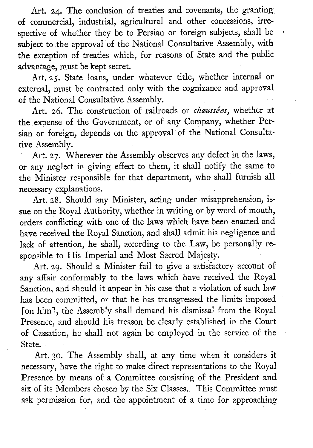Art. 24. The conclusion of treaties and covenants, the granting of commercial, industrial, agricultural and other concessions, irrespective of whether they be to Persian or foreign subjects, shall be subject to the approval of the National Consultative Assembly, with the exception of treaties which, for reasons of State and the public advantage, must be kept secret.

Art. 25. State loans, under whatever title, whether internal or external, must be contracted only with the cognizance and approval of the National Consultative Assembly.

Art. 26. The construction of railroads or *chaussées*, whether at the expense of the Government, or of any Company, whether Persian or foreign, depends on the approval of the National Consultative Assembly.

Art. 27. Wherever the Assembly observes any defect in the laws, or any neglect in giving effect to them, it shall notify the same to the Minister responsible for that department, who shall furnish all necessary explanations.

Art. 28. Should any Minister, acting under misapprehension, issue on the Royal Authority, whether in writing or by word of mouth, orders conflicting with one of the laws which have been enacted and have received the Royal Sanction, and shall admit his negligence and lack of attention, he shall, according to the Law, be personally responsible to His Imperial and Most Sacred Majesty.

Art. 29. Should a Minister fail to give a satisfactory account of any affair conformably to the laws which have received the Royal Sanction, and should it appear in his case that a violation of such law has been committed, or that he has transgressed the limits imposed [on him], the Assembly shall demand his dismissal from the Royal Presence, and should his treason be clearly established in the Court of Cassation, he shall not again be employed in the service of the State.

Art. 3o. The Assembly shall, at any time when it considers it necessary, have the right to make direct representations to the Royal Presence by means of a Committee consisting of the President and six of its Members chosen by the Six Classes. This Committee must ask permission for, and the appointment of a time for approaching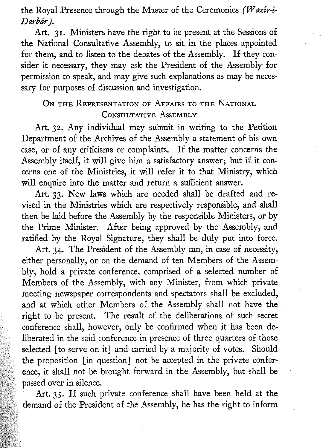the Royal Presence through the Master of the Ceremonies *(W azir-i-*Darbár).

Art. 31. Ministers have the right to be present at the Sessions of the National Consultative Assembly, to sit in the places appointed for them, and to listen to the debates of the Assembly. If they consider it necessary, they may ask the President of the Assembly for permission to speak, and may give such explanations as may be necessary for purposes of discussion and investigation.

# ON THE REPRESENTATION OF AFFAIRS TO THE NATIONAL CONSULTATIVE ASSEMBLY

Art. 32. Any individual may submit in writing to the Petition Department of the Archives of the Assembly a statement of his own case, or of any criticisms or complaints. If the matter concerns the Assembly itself, it will give him a satisfactory answer; but if it concerns one of the Ministries, it will refer it to that Ministry, which will enquire into the matter and return a sufficient answer.

Art. 33. New laws which are needed shall be drafted and revised in the Ministries which are respectively responsible, and shall then be laid before the Assembly by the responsible Ministers, or by the Prime Minister. After being approved by the Assembly, and ratified by the Royal Signature, they shall be duly put into force.

Art. 34. The President of the Assembly can, in case of necessity, either personally, or on the demand of ten Members of the Assembly, hold a private conference, comprised of a selected number of Members of the Assembly, with any Minister, from which private meeting newspaper correspondents and spectators shall be excluded, and at which other Members of the Assembly shall not have the right to be present. The result of the deliberations of such secret conference shall, however, only be confirmed when it has been deliberated in the said conference in presence of three quarters of those selected [to serve on it] and carried by a majority of votes. Should the proposition [in question] not be accepted in the private conference, it shall not be brought forward in the Assembly, but shall be passed over in silence.

Art. 35. If such private conference shall have been held at the demand of the President of the Assembly, he has the right to inform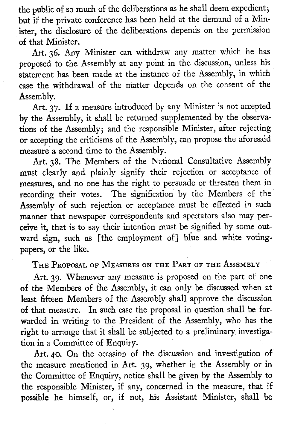the public of so much of the deliberations as he shall deem expedient; but if the private conference has been held at the demand of a Minister, the disclosure of the deliberations depends on the permission of that Minister.

Art. 36. Any Minister can withdraw any matter which he has proposed to the Assembly at any point in the discussion, unless his statement has been made at the instance of the Assembly, in which case the withdrawal of the matter depends on the consent of the Assembly.

Art. 37. If a measure introduced by any Minister is not accepted by the Assembly, it shall be returned supplemented by the observations of the Assembly; and the responsible Minister, after rejecting or accepting the criticisms of the Assembly, can propose the aforesaid measure a second time to the Assembly.

Art. 38. The Members of the National Consultative Assembly must clearly and plainly signify their rejection or acceptance of measures, and no one has the right to persuade or threaten them in recording their votes. The signification by the Members of the Assembly of such rejection or acceptance must be effected in such manner that newspaper correspondents and spectators also may perceive it, that is to say their intention must be signified by some outward sign, such as [the employment of] blue and white votingpapers, or the like.

THE PROPOSAL OF MEASURES ON THE PART OF THE ASSEMBLY

Art. 39. Whenever any measure is proposed on the part of one of the Members of the Assembly, it can only be discussed when at least fifteen Members of the Assembly shall approve the discussion of that measure. In such case the proposal in question shall be forwarded in writing to the President of the Assembly, who has the right to arrange that it shall be subjected to a preliminary investigation in a Committee of Enquiry.

Art. 40. On the occasion of the discussion and investigation of the measure mentioned in Art. 39, whether in the Assembly or in the Committee of Enquiry, notice shall be given by the Assembly to the responsible Minister, if any, concerned in the measure, that if possible he himself, or, if not, his Assistant Minister, shall be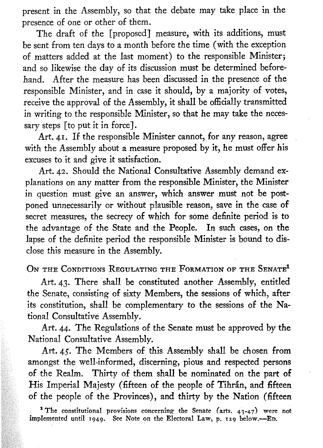present in the Assembly, so that the debate may take place in the presence of one or other of them.

The draft of the [proposed] measure, with its additions, must be sent from ten days to a month before the time (with the exception of matters added at the last moment) to the responsible Minister; and so likewise the day of its discussion must be determined beforehand. After the measure has been discussed in the presence of the responsible Minister, and in case it should, by a majority of votes, receive the approval of the Assembly, it shall be officially transmitted in writing to the responsible Minister, so that he may take the necessary steps [to put it in force].

Art. 41. If the responsible Minister cannot, for any reason, agree with the Assembly about a measure proposed by it, he must offer his excuses to it and give it satisfaction.

Art. 42. Should the National Consultative Assembly demand explanations on any matter from the responsible Minister, the Minister in question must give an answer, which answer must not be postponed unnecessarily or without plausible reason, save in the case of secret measures, the secrecy of which for some definite period is to the advantage of the State and the People. In such cases, on the lapse of the definite period the responsible Minister is bound to disclose this measure in the Assembly.

ON THE CONDITIONS REGULATING THE FORMATION OF THE SENATE<sup>1</sup>

Art. 43. There shall be constituted another Assembly, entitled the Senate, consisting of sixty Members, the sessions of which, after its constitution, shall be complementary to the sessions of the National Consultative Assembly.

Art. 44. The Regulations of the Senate must be approved by the National Consultative Assembly.

Art. *45.* The Members of this Assembly shall be chosen from amongst the well-informed, discerning, pious and respected persons of the Realm. Thirty of them shall be nominated on the part of His Imperial Majesty (fifteen of the people of Tihrán, and fifteen of the people of the Provinces), and thirty by the Nation (fifteen

<sup>1</sup> The constitutional provisions concerning the Senate (arts.  $43-47$ ) were not implemented until 1949. See Note on the Electoral Law, p. 129 below.--ED.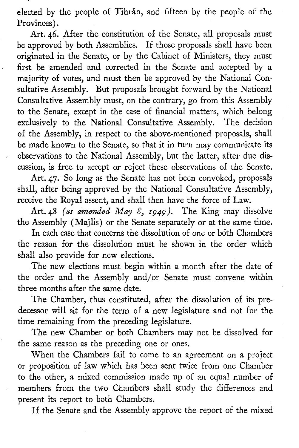elected by the people of Tihrán, and fifteen by the people of the Provinces).

Art. 46. After the constitution of the Senate, all proposals must be approved by both Assemblies. If those proposals shall have been originated in the Senate, or by the Cabinet of Ministers, they must first be amended and corrected in the Senate and accepted by a majority of votes, and must then be approved by the National Consultative Assembly. But proposals brought forward by the National Consultative Assembly must, on the contrary, go from this Assembly to the Senate, except in the case of financial matters, which belong exclusively to the National Consultative Assembly. The decision of the Assembly, in respect to the above-mentioned proposals, shall be made known to the Senate, so that it in turn may communicate its observations to the National Assembly, but the latter, after due discussion, is free to accept or reject these observations of the Senate.

Art. 47. So long as the Senate has not been convoked, proposals shall, after being approved by the National Consultative Assembly, receive the Royal assent, and shall then have the force of Law.

Art. 48 *(as amended May 8, 1949).* The King may dissolve the Assembly (Majlis) or the Senate separately or at the same time.

In each case that concerns the dissolution of one or both Chambers the reason for the dissolution must be shown in the order which shall also provide for new elections.

The new elections must begin within a month after the date of the order and the Assembly and/or Senate must convene within three months after the same date.

The Chamber, thus constituted, after the dissolution of its predecessor will sit for the term of a new legislature and not for the time remaining from the preceding legislature.

The new Chamber or both Chambers may not be dissolved for the same reason as the preceding one or ones.

When the Chambers fail to come to an agreement on a project or proposition of law which has been sent twice from one Chamber to the other, a mixed commission made up of an equal number of members from the two Chambers shall study the differences and present its report to both Chambers.

If the Senate and the Assembly approve the report of the mixed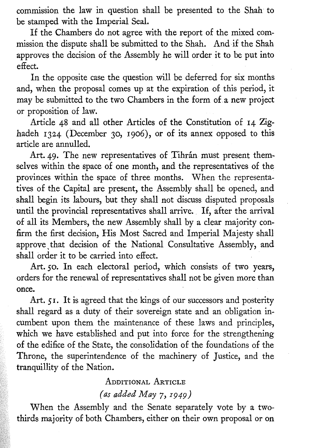commission the law in question shall be presented to the Shah to be stamped with the Imperial Seal.

If the Chambers do not agree with the report of the mixed commission the dispute shall be submitted to the Shah. And if the Shah approves the decision of the Assembly he will order it to be put into effect.

In the opposite case the question will be deferred for six months and, when the proposal comes up at the expiration of this period, it may be submitted to the two Chambers in the form of a new project or proposition of law.

Article 48 and all other Articles of the Constitution of 14 Zighadeh 1324 (December 30, 1906), or of its annex opposed to this article are annulled.

Art. 49. The new representatives of Tihrán must present themselves within the space of one month, and the representatives of the provinces within the space of three months. When the representatives of the Capital are present, the Assembly shall be opened, and shall begin its labours, but they shall not discuss disputed proposals until the provincial representatives shall arrive. If, after the arrival of all its Members, the new Assembly shall by a clear majority confirm the first decision, His Most Sacred and Imperial Majesty shall approve that decision of the National Consultative Assembly, and shall order it to be carried into effect.

Art. 50. In each electoral period, which consists of two years, orders for the renewal of representatives shall not be given more than once.

Art. 51. It is agreed that the kings of our successors and posterity shall regard as a duty of their sovereign state and an obligation incumbent upon them the maintenance of these laws and principles, which we have established and put into force for the strengthening of the edifice of the State, the consolidation of the foundations of the Throne, the superintendence of the machinery of Justice, and the tranquillity of the Nation.

# ADDITIONAL ARTICLE *(as added May 7, 1949)*

When the Assembly and the Senate separately vote by a twothirds majority of both Chambers, either on their own proposal or on